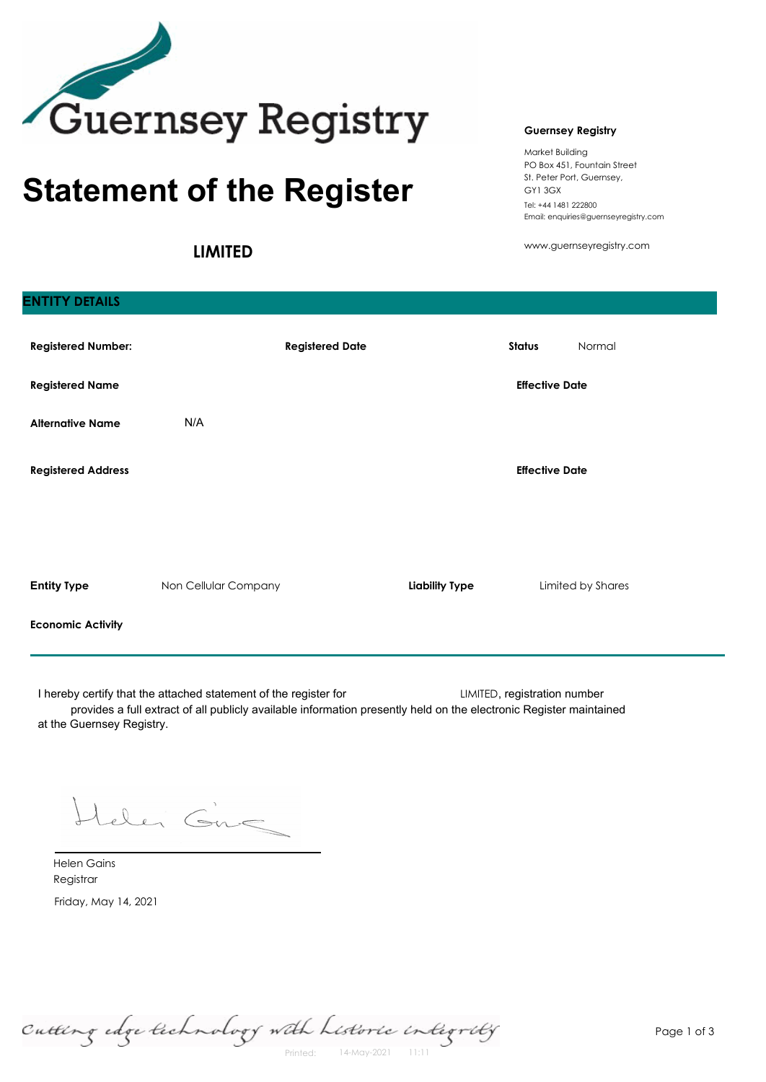

# **Statement of the Register**

**LIMITED**

### **Guernsey Registry**

Market Building PO Box 451, Fountain Street St. Peter Port, Guernsey, GY1 3GX Tel: +44 1481 222800 Email: enquiries@guernseyregistry.com

www.guernseyregistry.com

| <b>Registered Number:</b> |                      | <b>Registered Date</b> |                       | <b>Status</b>         | Normal            |
|---------------------------|----------------------|------------------------|-----------------------|-----------------------|-------------------|
| <b>Registered Name</b>    |                      |                        |                       | <b>Effective Date</b> |                   |
| <b>Alternative Name</b>   | N/A                  |                        |                       |                       |                   |
| <b>Registered Address</b> |                      |                        |                       | <b>Effective Date</b> |                   |
|                           |                      |                        |                       |                       |                   |
|                           |                      |                        |                       |                       |                   |
| <b>Entity Type</b>        | Non Cellular Company |                        | <b>Liability Type</b> |                       | Limited by Shares |
| <b>Economic Activity</b>  |                      |                        |                       |                       |                   |

I hereby certify that the attached statement of the register for **LIMITED**, registration number provides a full extract of all publicly available information presently held on the electronic Register maintained at the Guernsey Registry.

teler Gne

Friday, May 14, 2021 Helen Gains Registrar

**ENTITY DETAILS**

Cutting edge technology with Listoric integrity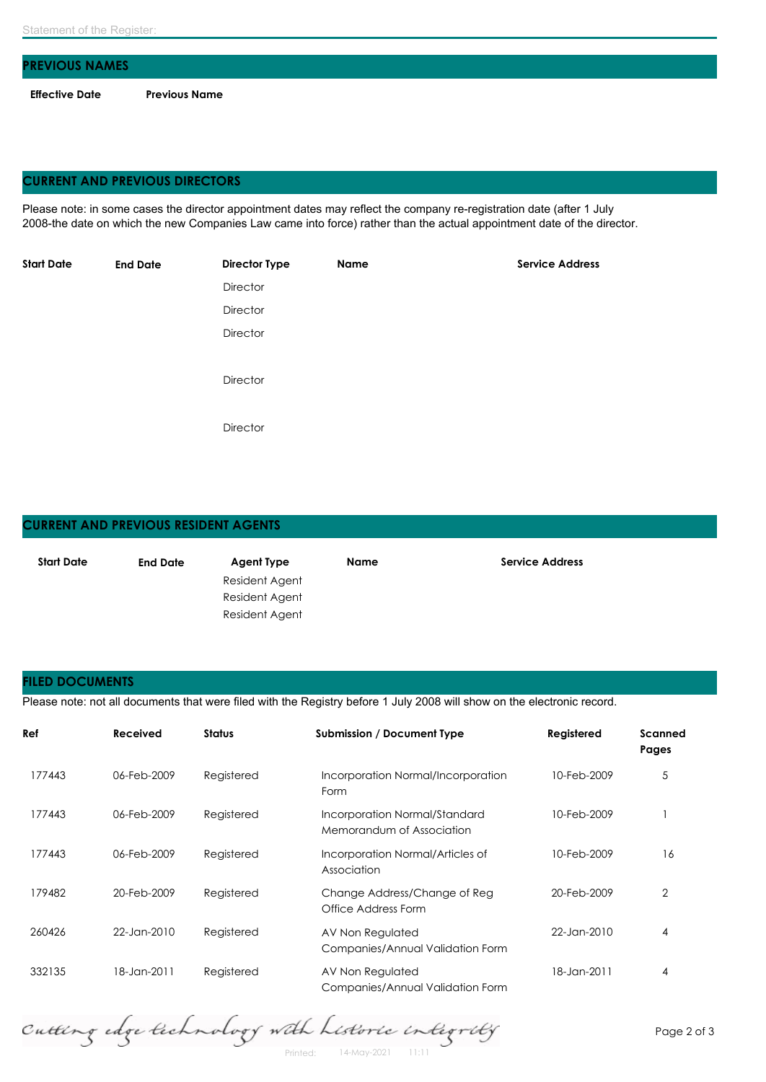| <b>PREVIOUS NAMES</b> |                      |
|-----------------------|----------------------|
| Effective Date        | <b>Previous Name</b> |

## **CURRENT AND PREVIOUS DIRECTORS**

Please note: in some cases the director appointment dates may reflect the company re-registration date (after 1 July 2008-the date on which the new Companies Law came into force) rather than the actual appointment date of the director.

| <b>Start Date</b> | <b>End Date</b> | <b>Director Type</b> | Name | <b>Service Address</b> |
|-------------------|-----------------|----------------------|------|------------------------|
|                   |                 | Director             |      |                        |
|                   |                 | Director             |      |                        |
|                   |                 | Director             |      |                        |
|                   |                 |                      |      |                        |
|                   |                 | Director             |      |                        |
|                   |                 |                      |      |                        |
|                   |                 | Director             |      |                        |
|                   |                 |                      |      |                        |

# **CURRENT AND PREVIOUS RESIDENT AGENTS Start Date End Date Agent Type Name Service Address** Resident Agent Resident Agent Resident Agent

### **FILED DOCUMENTS**

Please note: not all documents that were filed with the Registry before 1 July 2008 will show on the electronic record.

| Ref    | Received    | <b>Status</b> | <b>Submission / Document Type</b>                          | Registered  | Scanned<br>Pages |
|--------|-------------|---------------|------------------------------------------------------------|-------------|------------------|
| 177443 | 06-Feb-2009 | Registered    | Incorporation Normal/Incorporation<br>Form                 | 10-Feb-2009 | 5                |
| 177443 | 06-Feb-2009 | Registered    | Incorporation Normal/Standard<br>Memorandum of Association | 10-Feb-2009 |                  |
| 177443 | 06-Feb-2009 | Registered    | Incorporation Normal/Articles of<br>Association            | 10-Feb-2009 | 16               |
| 179482 | 20-Feb-2009 | Registered    | Change Address/Change of Reg<br>Office Address Form        | 20-Feb-2009 | 2                |
| 260426 | 22-Jan-2010 | Registered    | AV Non Regulated<br>Companies/Annual Validation Form       | 22-Jan-2010 | $\overline{4}$   |
| 332135 | 18-Jan-2011 | Registered    | AV Non Regulated<br>Companies/Annual Validation Form       | 18-Jan-2011 | $\overline{4}$   |

Cutting edge technology with Listoric integrity